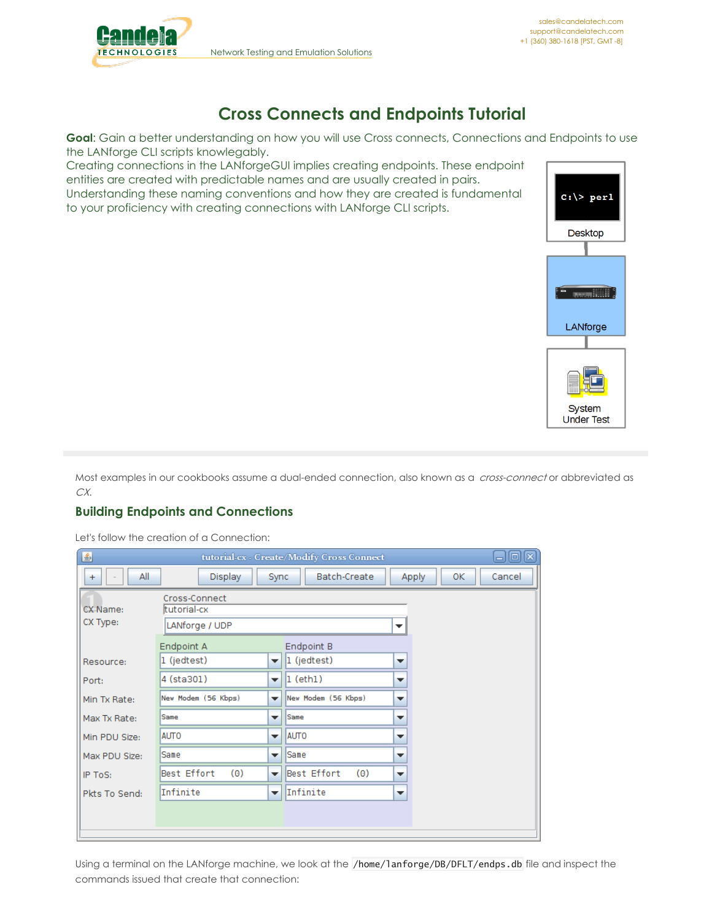

# **Cross Connects and Endpoints Tutorial**

Goal: Gain a better understanding on how you will use Cross connects, Connections and Endpoints to use the LANforge CLI scripts knowlegably.

Creating connections in the LANforgeGUI implies creating endpoints. These endpoint entities are created with predictable names and are usually created in pairs. Understanding these naming conventions and how they are created is fundamental to your proficiency with creating connections with LANforge CLI scripts.



Most examples in our cookbooks assume a dual-ended connection, also known as a cross-connect or abbreviated as CX.

# **Building Endpoints and Connections**

Let's follow the creation of a Connection:

| $\boxminus$ $\boxminus$ $\boxtimes$<br>鱼<br>tutorial-cx - Create/Modify Cross Connect |                                                     |                                                                                                                                            |        |  |  |  |  |  |  |  |  |  |  |  |
|---------------------------------------------------------------------------------------|-----------------------------------------------------|--------------------------------------------------------------------------------------------------------------------------------------------|--------|--|--|--|--|--|--|--|--|--|--|--|
| All<br>$\ddot{}$                                                                      | Display                                             | Batch-Create<br><b>Apply</b><br>ОΚ<br>Sync                                                                                                 | Cancel |  |  |  |  |  |  |  |  |  |  |  |
| CX Name:<br>CX Type:                                                                  | Cross-Connect<br>tutorial-cx<br>LANforge / UDP<br>▼ |                                                                                                                                            |        |  |  |  |  |  |  |  |  |  |  |  |
| Resource:<br>Port:                                                                    | Endpoint A<br>1 (jedtest)<br>4 (sta301)             | Endpoint B<br>1 (jedtest)<br>$\overline{\phantom{a}}$<br>▼<br>$ 1$ (eth $1$ )<br>$\overline{\mathbf{v}}$<br>$\overline{\phantom{a}}$       |        |  |  |  |  |  |  |  |  |  |  |  |
| Min Tx Rate:<br>Max Tx Rate:                                                          | New Modem (56 Kbps)<br>Same                         | New Modem (56 Kbps)<br>$\overline{\phantom{a}}$<br>▼<br>Same<br>$\overline{\phantom{a}}$<br>▼                                              |        |  |  |  |  |  |  |  |  |  |  |  |
| Min PDU Size:                                                                         | <b>AUTO</b>                                         | <b>AUTO</b><br>$\overline{\phantom{a}}$<br>▼                                                                                               |        |  |  |  |  |  |  |  |  |  |  |  |
| Max PDU Size:<br>IP ToS:                                                              | Same<br>Best Effort<br>(0)                          | lSame<br>$\overline{\mathbf{v}}$<br>$\overline{\phantom{a}}$<br>Best Effort<br>(0)<br>$\overline{\phantom{a}}$<br>$\overline{\phantom{a}}$ |        |  |  |  |  |  |  |  |  |  |  |  |
| Pkts To Send:                                                                         | Infinite                                            | Infinite<br>$\overline{\phantom{a}}$<br>▼                                                                                                  |        |  |  |  |  |  |  |  |  |  |  |  |
|                                                                                       |                                                     |                                                                                                                                            |        |  |  |  |  |  |  |  |  |  |  |  |

Using a terminal on the LANforge machine, we look at the /home/lanforge/DB/DFLT/endps.db file and inspect the commands issued that create that connection: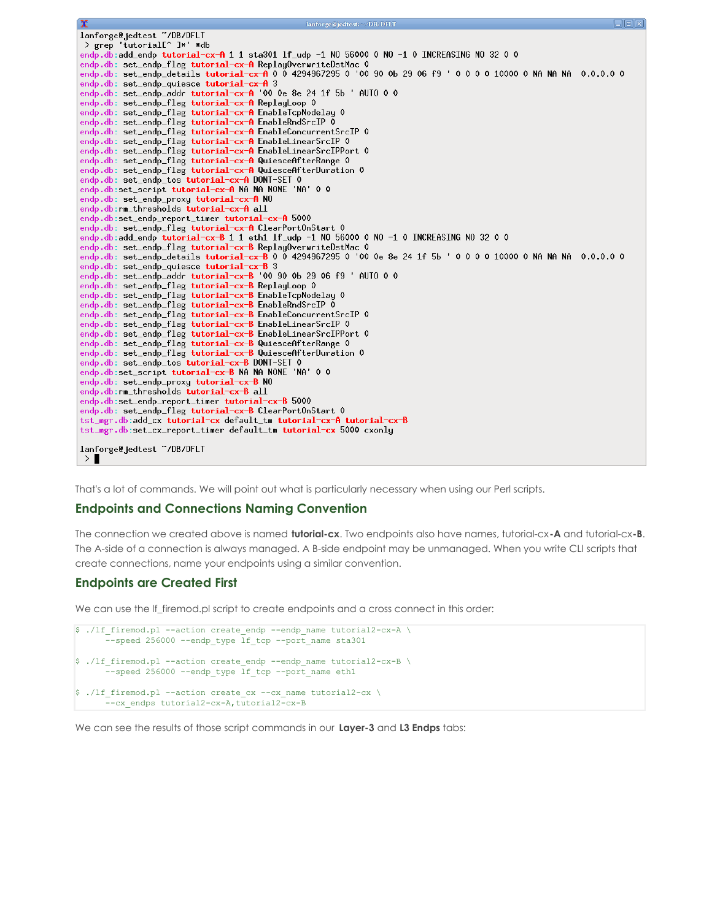```
lanforge@jedtest ~/DB/DFLT
> grep 'tutorial[^ ]*' *db
endp.db:add_endp tutorial-cx-A 1 1 sta301 lf_udp -1 NO 56000 0 NO -1 0 INCREASING NO 32 0 0
endp.db: set_endp_details tutorial—cx—A 0 0 4294967295 0 '00 90 0b 29 06 f9 ' 0 0 0 0 10000 0 NA NA NA  0.0.0.0 0
endp.db: set_endp_quiesce tutorial-cx-A 3
endp.db: set_endp_addr tutorial-cx-A '00 0e 8e 24 1f 5b ' AUTO 0 0
endp.db: set_endp_flag tutorial-cx-A ReplayLoop 0
endp.db: set_endp_flag tutorial-cx-A EnableTcpNodelay 0
endp.db: set_endp_flag tutorial-cx-A EnableConcurrentSrcIP 0
endp.db: set_endp_flag tutorial-cx-A EnableLinearSrcIP 0
endp.db: set_endp_flag tutorial-cx-A QuiesceAfterDuration 0
endp.db: set_endp_tos tutorial-cx-A DONT-SET 0
endp.db:set_script tutorial-cx-A NA NA NONE 'NA' 0 0
endp.db: set_endp_proxy tutorial-cx-A NO
endp.db:rm_thresholds tutorial-cx-A all
endp.db: set_endp_flag tutorial-cx-A ClearPortOnStart 0
endp.db:add_endp tutorial-cx-B 1 1 eth1 lf_udp -1 N0 56000 0 N0 -1 0 INCREASING N0 32 0 0
endp.db: set_endp_details tutorial-cx-B 0 0 4294967295 0 '00 0e 8e 24 1f 5b ' 0 0 0 0 10000 0 NA NA NA 0.0.0.0 0
endp.db: set_endp_flag tutorial-cx-B EnableTcpNodelay 0<br>endp.db: set_endp_flag tutorial-cx-B EnableTcpNodelay 0<br>endp.db: set_endp_flag tutorial-cx-B EnableRndSrcIP 0
endp.db: set_endp_flag tutorial-cx-B EnableLinearSrcIP 0
endp.db: set_endp_flag tutorial-cx-B EnableLinearSrcIPPort 0
endp.db: set_endp_flag tutorial-cx-B QuiesceAfterRange 0
endp.db: set_endp_flag tutorial-cx-B QuiesceAfterDuration 0
endp.db: set_endp_tos tutorial-cx-B DONT-SET 0
endp.db:set_script tutorial-cx-B NA NA NONE 'NA' 0 0
endp.db: set_endp_proxy tutorial-cx-B NO
endp.db:rm_thresholds tutorial-cx-B all
endp.db:set_endp_report_timer tutorial-cx-B 5000
tst_mgr.db:add_cx           tutorial-cx           default_tm           tutorial-cx-A tutorial-cx-B
tst_mgr.db:set_cx_report_timer                                  default_tm tutorial-cx 5000 cxonly
lanforge@jedtest ~/DB/DFLT
>
```
That's a lot of commands. We will point out what is particularly necessary when using our Perl scripts.

#### **Endpoints and Connections Naming Convention**

The connection we created above is named **tutorial-cx**. Two endpoints also have names, tutorial-cx**-A** and tutorial-cx**-B**. The A-side of a connection is always managed. A B-side endpoint may be unmanaged. When you write CLI scripts that create connections, name your endpoints using a similar convention.

#### **Endpoints are Created First**

We can use the If\_firemod.pl script to create endpoints and a cross connect in this order:

```
$ ./lf firemod.pl --action create endp --endp name tutorial2-cx-A \
      --speed 256000 --endp type lf tcp --port name sta301
$ ./lf firemod.pl --action create endp --endp name tutorial2-cx-B \
      --speed 256000 --endp type lf tcp --port name eth1
$ ./lf firemod.pl --action create cx --cx name tutorial2-cx \
      --cx_endps tutorial2-cx-A,tutorial2-cx-B
```
We can see the results of those script commands in our **Layer-3** and **L3 Endps** tabs: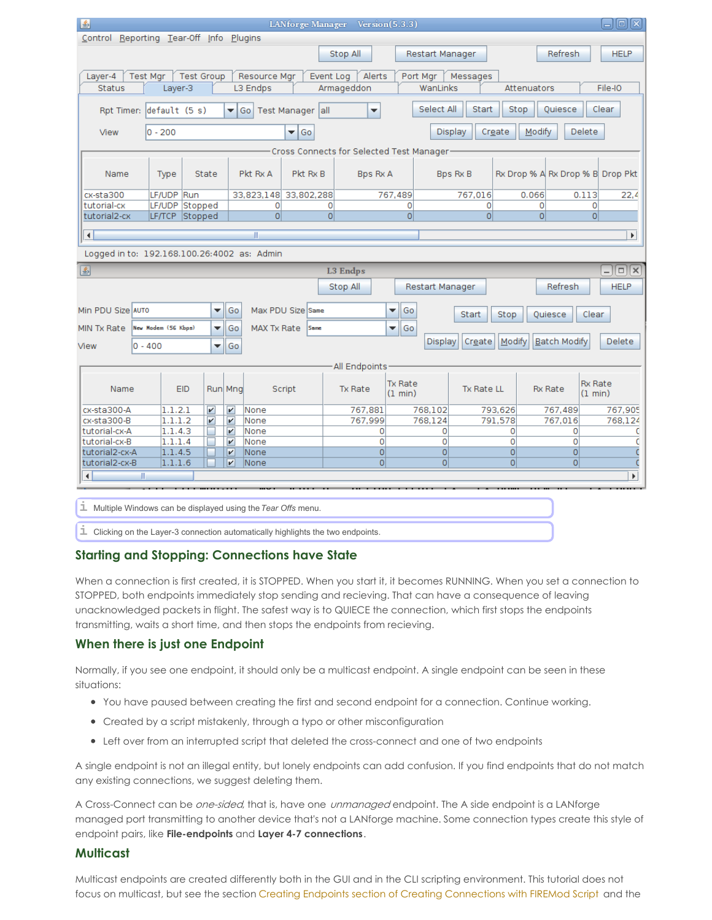| 圖                                                                                                              |                                     |         |                |                         |                           |                    |                   | LANforge Manager Version(5.3.3) |                |                                     |                 |            |                |                                  |                     |                           | $\Box$ o $\boxtimes$ |
|----------------------------------------------------------------------------------------------------------------|-------------------------------------|---------|----------------|-------------------------|---------------------------|--------------------|-------------------|---------------------------------|----------------|-------------------------------------|-----------------|------------|----------------|----------------------------------|---------------------|---------------------------|----------------------|
| Control Reporting Tear-Off Info Plugins                                                                        |                                     |         |                |                         |                           |                    |                   |                                 |                |                                     |                 |            |                |                                  |                     |                           |                      |
|                                                                                                                |                                     |         |                |                         |                           |                    |                   | Stop All                        |                |                                     | Restart Manager |            |                |                                  | <b>Refresh</b>      |                           | <b>HELP</b>          |
| <b>Test Group</b><br>Alerts<br>Messages<br><b>Test Mgr</b><br>Resource Mgr<br>Event Log<br>Port Mgr<br>Layer-4 |                                     |         |                |                         |                           |                    |                   |                                 |                |                                     |                 |            |                |                                  |                     |                           |                      |
| <b>Status</b><br>Layer-3<br>L3 Endps<br>Armageddon<br>WanLinks<br>Attenuators<br>File-IO                       |                                     |         |                |                         |                           |                    |                   |                                 |                |                                     |                 |            |                |                                  |                     |                           |                      |
|                                                                                                                |                                     |         |                |                         |                           |                    |                   |                                 |                |                                     |                 |            |                |                                  |                     |                           |                      |
| Select All<br>Start<br>Quiesce<br>Clear<br>Stop<br>Rpt Timer: default (5 s)<br>Go   Test Manager all<br>▼<br>▼ |                                     |         |                |                         |                           |                    |                   |                                 |                |                                     |                 |            |                |                                  |                     |                           |                      |
| Display<br>Create<br>Modify<br>Delete<br>View<br>$ 0 - 200$<br>▼<br>l Go                                       |                                     |         |                |                         |                           |                    |                   |                                 |                |                                     |                 |            |                |                                  |                     |                           |                      |
| Cross Connects for Selected Test Manager-                                                                      |                                     |         |                |                         |                           |                    |                   |                                 |                |                                     |                 |            |                |                                  |                     |                           |                      |
| Name                                                                                                           | Type<br>State                       |         |                | Pkt Rx A                |                           | Pkt Rx B           |                   | <b>Bps Rx A</b>                 |                | <b>Bps Rx B</b>                     |                 |            |                | Rx Drop % A Rx Drop % B Drop Pkt |                     |                           |                      |
| cx-sta300                                                                                                      | LF/UDP Run<br>33,823,148 33,802,288 |         |                | 767,489                 |                           |                    |                   | 767,016<br>0.066                |                |                                     | 0.113<br>22,4   |            |                |                                  |                     |                           |                      |
| tutorial-cx                                                                                                    | LF/UDP Stopped                      |         | 0              |                         | 0                         | $\Omega$           |                   | $\Omega$                        |                | 0                                   |                 | O          |                |                                  |                     |                           |                      |
| tutorial2-cx                                                                                                   |                                     |         | LF/TCP Stopped |                         |                           | $\overline{0}$     |                   | $\overline{0}$                  |                | $\Omega$                            |                 | 0          |                | $\overline{0}$                   |                     | $\Omega$                  |                      |
| $\blacksquare$                                                                                                 |                                     |         |                |                         |                           | $\mathbb{I}$       |                   |                                 |                |                                     |                 |            |                |                                  |                     |                           | Þ.                   |
| Logged in to: 192.168.100.26:4002 as: Admin                                                                    |                                     |         |                |                         |                           |                    |                   |                                 |                |                                     |                 |            |                |                                  |                     |                           |                      |
| $\Box$ $\times$<br>国<br><b>L3 Endps</b>                                                                        |                                     |         |                |                         |                           |                    |                   |                                 |                |                                     |                 |            |                |                                  |                     |                           |                      |
|                                                                                                                |                                     |         |                |                         |                           |                    |                   | Stop All                        |                |                                     | Restart Manager |            |                |                                  | Refresh             |                           | <b>HELP</b>          |
|                                                                                                                |                                     |         |                |                         |                           |                    |                   |                                 |                |                                     |                 |            |                |                                  |                     |                           |                      |
| Min PDU Size AUTO                                                                                              |                                     |         |                | ▼                       | Go                        |                    | Max PDU Size Same |                                 |                | Go<br>▼                             |                 | Start      | Stop           |                                  | Quiesce             | Clear                     |                      |
| MIN Tx Rate                                                                                                    | New Hodem (56 Kbps)                 |         |                | ۰                       | Go                        | <b>MAX Tx Rate</b> | Same              |                                 |                | Go<br>÷                             |                 |            |                |                                  |                     |                           |                      |
| View                                                                                                           | $ 0 - 400$                          |         |                | ÷                       | Go                        |                    |                   |                                 |                |                                     | Display         | Create     | Modify         |                                  | <b>Batch Modify</b> |                           | Delete               |
|                                                                                                                |                                     |         |                |                         |                           |                    |                   |                                 |                |                                     |                 |            |                |                                  |                     |                           |                      |
| All Endpoints-                                                                                                 |                                     |         |                |                         |                           |                    |                   |                                 |                |                                     |                 |            |                |                                  |                     |                           |                      |
| Name                                                                                                           |                                     |         | <b>EID</b>     |                         | Run Mng                   |                    | Script            | Tx Rate                         |                | <b>Tx Rate</b><br>$(1 \text{ min})$ |                 | Tx Rate LL |                |                                  | <b>Rx Rate</b>      | <b>Rx Rate</b><br>(1 min) |                      |
| cx-sta300-A                                                                                                    |                                     | 1.1.2.1 |                | $\overline{\mathbf{r}}$ | $\overline{\mathbf{v}}$   | None               |                   | 767,881                         |                |                                     | 768,102         |            | 793,626        |                                  | 767,489             |                           | 767,905              |
| cx-sta300-B                                                                                                    |                                     | 1.1.1.2 |                | $\vert\bm{v}\vert$      | $\overline{\mathbf{r}}$   | None               |                   | 767,999                         |                |                                     | 768,124         |            | 791,578        |                                  | 767,016             |                           | 768,124              |
| tutorial-cx-A                                                                                                  |                                     | 1.1.4.3 |                | L                       | $\boldsymbol{\mathsf{v}}$ | None               |                   |                                 | 0              |                                     | 0               |            | 0              |                                  | $\mathbf{O}$        |                           | c                    |
| tutorial-cx-B                                                                                                  |                                     | 1.1.1.4 |                | п                       | $\overline{\mathbf{v}}$   | None               |                   |                                 | 0              |                                     | 0               |            | 0              |                                  | $\overline{0}$      |                           | C                    |
| tutorial2-cx-A                                                                                                 |                                     | 1.1.4.5 |                |                         | $\overline{\mathbf{v}}$   | <b>None</b>        |                   |                                 | $\overline{0}$ |                                     | $\overline{0}$  |            | $\overline{0}$ |                                  | $\overline{O}$      |                           |                      |
| tutorial2-cx-B                                                                                                 |                                     | 1.1.1.6 |                |                         | V                         | None               |                   |                                 | 0              |                                     | $\overline{0}$  |            | $\Omega$       |                                  | $\Omega$            |                           |                      |
| $\blacktriangleleft$                                                                                           | $\mathbb{R}$                        |         |                |                         |                           |                    |                   |                                 |                |                                     |                 |            |                |                                  |                     |                           | þ.                   |
|                                                                                                                |                                     |         |                |                         |                           |                    |                   |                                 |                |                                     |                 |            |                |                                  |                     |                           |                      |
| <i>L</i> Multiple Windows can be displayed using the Tear Offs menu.                                           |                                     |         |                |                         |                           |                    |                   |                                 |                |                                     |                 |            |                |                                  |                     |                           |                      |

**i** Clicking on the Layer-3 connection automatically highlights the two endpoints.

## **Starting and Stopping: Connections have State**

When a connection is first created, it is STOPPED. When you start it, it becomes RUNNING. When you set a connection to STOPPED, both endpoints immediately stop sending and recieving. That can have a consequence of leaving unacknowledged packets in flight. The safest way is to QUIECE the connection, which first stops the endpoints transmitting, waits a short time, and then stops the endpoints from recieving.

## **When there is just one Endpoint**

Normally, if you see one endpoint, it should only be a multicast endpoint. A single endpoint can be seen in these situations:

- You have paused between creating the first and second endpoint for a connection. Continue working.
- Created by a script mistakenly, through a typo or other misconfiguration
- Left over from an interrupted script that deleted the cross-connect and one of two endpoints

A single endpoint is not an illegal entity, but lonely endpoints can add confusion. If you find endpoints that do not match any existing connections, we suggest deleting them.

A Cross-Connect can be one-sided, that is, have one unmanaged endpoint. The A side endpoint is a LANforge managed port transmitting to another device that's not a LANforge machine. Some connection types create this style of endpoint pairs, like **File-endpoints** and **Layer 4-7 connections**.

## **Multicast**

Multicast endpoints are created differently both in the GUI and in the CLI scripting environment. This tutorial does not focus on multicast, but see the section Creating Endpoints section of Creating [Connections](http://www.candelatech.com/cookbook.php?vol=cli&book=Creating+Connections+with+the+FIREmod+Script) with FIREMod Script and the